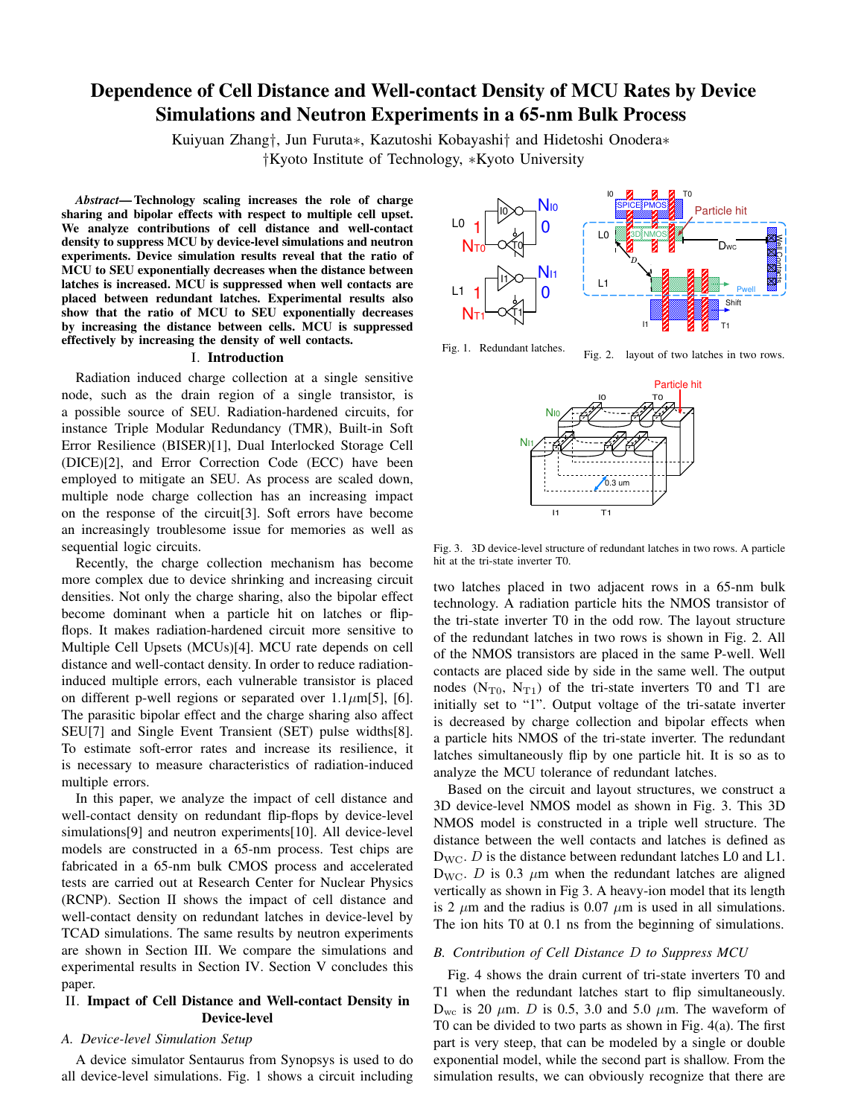# Dependence of Cell Distance and Well-contact Density of MCU Rates by Device Simulations and Neutron Experiments in a 65-nm Bulk Process

Kuiyuan Zhang*†*, Jun Furuta*∗*, Kazutoshi Kobayashi*†* and Hidetoshi Onodera*∗ †*Kyoto Institute of Technology, *∗*Kyoto University

*Abstract*— Technology scaling increases the role of charge sharing and bipolar effects with respect to multiple cell upset. We analyze contributions of cell distance and well-contact density to suppress MCU by device-level simulations and neutron experiments. Device simulation results reveal that the ratio of MCU to SEU exponentially decreases when the distance between latches is increased. MCU is suppressed when well contacts are placed between redundant latches. Experimental results also show that the ratio of MCU to SEU exponentially decreases by increasing the distance between cells. MCU is suppressed effectively by increasing the density of well contacts.

#### I. Introduction

Radiation induced charge collection at a single sensitive node, such as the drain region of a single transistor, is a possible source of SEU. Radiation-hardened circuits, for instance Triple Modular Redundancy (TMR), Built-in Soft Error Resilience (BISER)[1], Dual Interlocked Storage Cell (DICE)[2], and Error Correction Code (ECC) have been employed to mitigate an SEU. As process are scaled down, multiple node charge collection has an increasing impact on the response of the circuit[3]. Soft errors have become an increasingly troublesome issue for memories as well as sequential logic circuits.

Recently, the charge collection mechanism has become more complex due to device shrinking and increasing circuit densities. Not only the charge sharing, also the bipolar effect become dominant when a particle hit on latches or flipflops. It makes radiation-hardened circuit more sensitive to Multiple Cell Upsets (MCUs)[4]. MCU rate depends on cell distance and well-contact density. In order to reduce radiationinduced multiple errors, each vulnerable transistor is placed on different p-well regions or separated over  $1.1 \mu m[5]$ , [6]. The parasitic bipolar effect and the charge sharing also affect SEU[7] and Single Event Transient (SET) pulse widths[8]. To estimate soft-error rates and increase its resilience, it is necessary to measure characteristics of radiation-induced multiple errors.

In this paper, we analyze the impact of cell distance and well-contact density on redundant flip-flops by device-level simulations[9] and neutron experiments[10]. All device-level models are constructed in a 65-nm process. Test chips are fabricated in a 65-nm bulk CMOS process and accelerated tests are carried out at Research Center for Nuclear Physics (RCNP). Section II shows the impact of cell distance and well-contact density on redundant latches in device-level by TCAD simulations. The same results by neutron experiments are shown in Section III. We compare the simulations and experimental results in Section IV. Section V concludes this paper.

# II. Impact of Cell Distance and Well-contact Density in Device-level

### *A. Device-level Simulation Setup*

A device simulator Sentaurus from Synopsys is used to do all device-level simulations. Fig. 1 shows a circuit including



Fig. 1. Redundant latches.

Fig. 2. layout of two latches in two rows.



Fig. 3. 3D device-level structure of redundant latches in two rows. A particle hit at the tri-state inverter T0.

two latches placed in two adjacent rows in a 65-nm bulk technology. A radiation particle hits the NMOS transistor of the tri-state inverter T0 in the odd row. The layout structure of the redundant latches in two rows is shown in Fig. 2. All of the NMOS transistors are placed in the same P-well. Well contacts are placed side by side in the same well. The output nodes  $(N_{T0}, N_{T1})$  of the tri-state inverters T0 and T1 are initially set to "1". Output voltage of the tri-satate inverter is decreased by charge collection and bipolar effects when a particle hits NMOS of the tri-state inverter. The redundant latches simultaneously flip by one particle hit. It is so as to analyze the MCU tolerance of redundant latches.

Based on the circuit and layout structures, we construct a 3D device-level NMOS model as shown in Fig. 3. This 3D NMOS model is constructed in a triple well structure. The distance between the well contacts and latches is defined as  $D_{\text{WC}}$ . *D* is the distance between redundant latches L0 and L1.  $D_{\text{WC}}$ . *D* is 0.3  $\mu$ m when the redundant latches are aligned vertically as shown in Fig 3. A heavy-ion model that its length is 2  $\mu$ m and the radius is 0.07  $\mu$ m is used in all simulations. The ion hits T0 at 0.1 ns from the beginning of simulations.

### *B. Contribution of Cell Distance D to Suppress MCU*

Fig. 4 shows the drain current of tri-state inverters T0 and T1 when the redundant latches start to flip simultaneously.  $D_{\text{wc}}$  is 20  $\mu$ m. *D* is 0.5, 3.0 and 5.0  $\mu$ m. The waveform of T0 can be divided to two parts as shown in Fig. 4(a). The first part is very steep, that can be modeled by a single or double exponential model, while the second part is shallow. From the simulation results, we can obviously recognize that there are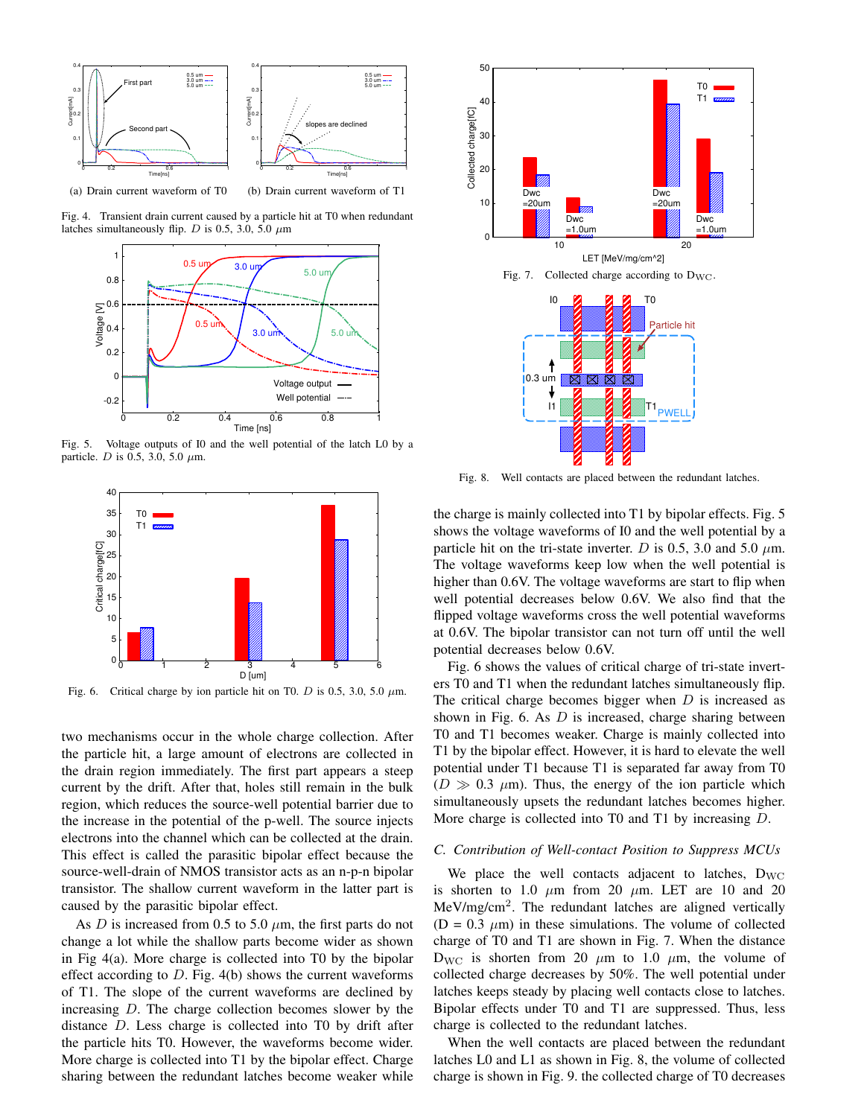

Fig. 4. Transient drain current caused by a particle hit at T0 when redundant latches simultaneously flip. *D* is 0.5, 3.0, 5.0  $\mu$ m



Fig. 5. Voltage outputs of I0 and the well potential of the latch L0 by a particle. *D* is 0.5, 3.0, 5.0 *µ*m.



Fig. 6. Critical charge by ion particle hit on T0. *D* is 0.5, 3.0, 5.0 *µ*m.

two mechanisms occur in the whole charge collection. After the particle hit, a large amount of electrons are collected in the drain region immediately. The first part appears a steep current by the drift. After that, holes still remain in the bulk region, which reduces the source-well potential barrier due to the increase in the potential of the p-well. The source injects electrons into the channel which can be collected at the drain. This effect is called the parasitic bipolar effect because the source-well-drain of NMOS transistor acts as an n-p-n bipolar transistor. The shallow current waveform in the latter part is caused by the parasitic bipolar effect.

As *D* is increased from 0.5 to 5.0  $\mu$ m, the first parts do not change a lot while the shallow parts become wider as shown in Fig 4(a). More charge is collected into T0 by the bipolar effect according to *D*. Fig. 4(b) shows the current waveforms of T1. The slope of the current waveforms are declined by increasing *D*. The charge collection becomes slower by the distance *D*. Less charge is collected into T0 by drift after the particle hits T0. However, the waveforms become wider. More charge is collected into T1 by the bipolar effect. Charge sharing between the redundant latches become weaker while



Fig. 8. Well contacts are placed between the redundant latches.

the charge is mainly collected into T1 by bipolar effects. Fig. 5 shows the voltage waveforms of I0 and the well potential by a particle hit on the tri-state inverter. *D* is 0.5, 3.0 and 5.0  $\mu$ m. The voltage waveforms keep low when the well potential is higher than 0.6V. The voltage waveforms are start to flip when well potential decreases below 0.6V. We also find that the flipped voltage waveforms cross the well potential waveforms at 0.6V. The bipolar transistor can not turn off until the well potential decreases below 0.6V.

Fig. 6 shows the values of critical charge of tri-state inverters T0 and T1 when the redundant latches simultaneously flip. The critical charge becomes bigger when *D* is increased as shown in Fig. 6. As *D* is increased, charge sharing between T0 and T1 becomes weaker. Charge is mainly collected into T1 by the bipolar effect. However, it is hard to elevate the well potential under T1 because T1 is separated far away from T0  $(D \gg 0.3 \mu m)$ . Thus, the energy of the ion particle which simultaneously upsets the redundant latches becomes higher. More charge is collected into T0 and T1 by increasing *D*.

#### *C. Contribution of Well-contact Position to Suppress MCUs*

We place the well contacts adjacent to latches,  $D_{\text{WC}}$ is shorten to 1.0  $\mu$ m from 20  $\mu$ m. LET are 10 and 20 MeV/mg/cm<sup>2</sup>. The redundant latches are aligned vertically  $(D = 0.3 \mu m)$  in these simulations. The volume of collected charge of T0 and T1 are shown in Fig. 7. When the distance  $D_{\text{WC}}$  is shorten from 20  $\mu$ m to 1.0  $\mu$ m, the volume of collected charge decreases by 50%. The well potential under latches keeps steady by placing well contacts close to latches. Bipolar effects under T0 and T1 are suppressed. Thus, less charge is collected to the redundant latches.

When the well contacts are placed between the redundant latches L0 and L1 as shown in Fig. 8, the volume of collected charge is shown in Fig. 9. the collected charge of T0 decreases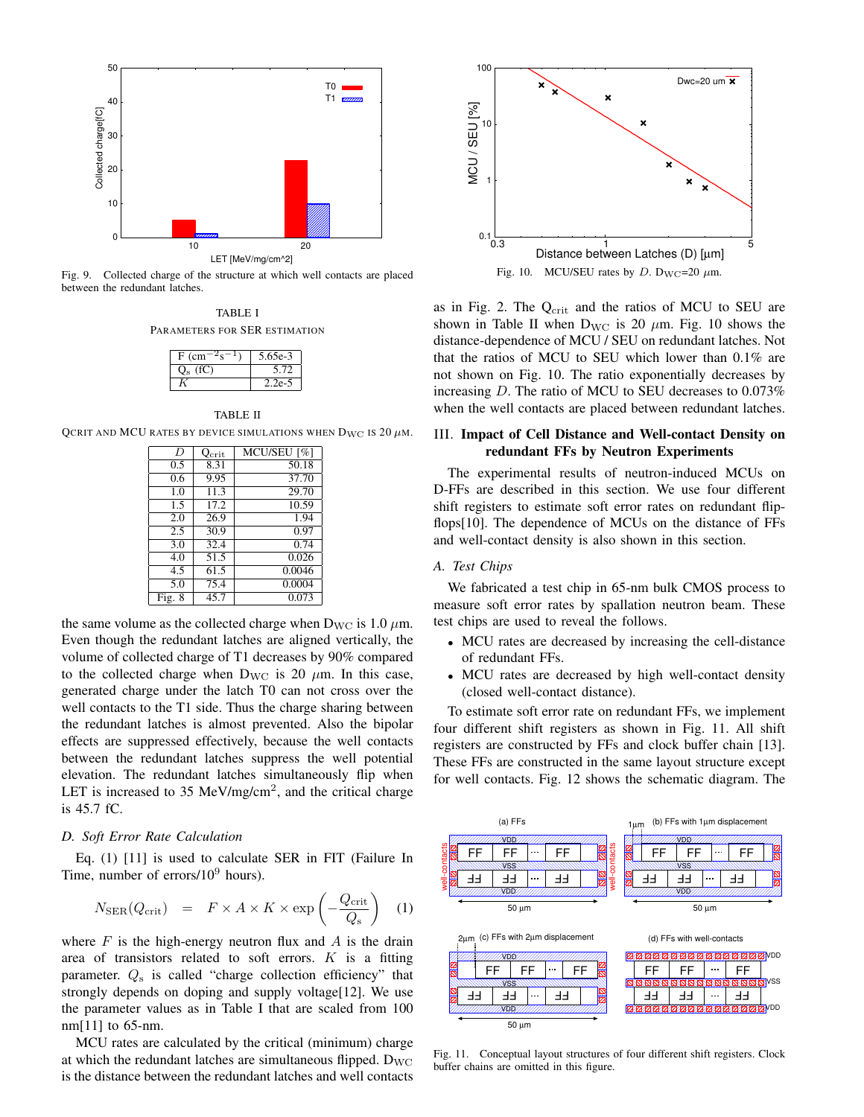

Fig. 9. Collected charge of the structure at which well contacts are placed between the redundant latches.

TABLE I PARAMETERS FOR SER ESTIMATION

| F (cm) | 5.65e-3 |
|--------|---------|
|        |         |
|        |         |

TABLE II

QCRIT AND MCU RATES BY DEVICE SIMULATIONS WHEN  $D_{\text{WC}}$  is 20  $\mu$ m.

| D<br>MCU/SEU <sup>[%]</sup><br>$Q_{\rm crit}$<br>50.18<br>8.31<br>0.5 |  |
|-----------------------------------------------------------------------|--|
|                                                                       |  |
|                                                                       |  |
| 9.95<br>37.70<br>0.6                                                  |  |
| 29.70<br>11.3<br>1.0                                                  |  |
| 17.2<br>10.59<br>1.5                                                  |  |
| 26.9<br>1.94<br>2.0                                                   |  |
| 30.9<br>0.97<br>2.5                                                   |  |
| 32.4<br>3.0<br>0.74                                                   |  |
| 0.026<br>51.5<br>4.0                                                  |  |
| 0.0046<br>61.5<br>4.5                                                 |  |
| 0.0004<br>75.4<br>5.0                                                 |  |
| 0.073<br>45.7<br>Fig. 8                                               |  |

the same volume as the collected charge when  $D_{\text{WC}}$  is 1.0  $\mu$ m. Even though the redundant latches are aligned vertically, the volume of collected charge of T1 decreases by 90% compared to the collected charge when  $D_{\text{WC}}$  is 20  $\mu$ m. In this case, generated charge under the latch T0 can not cross over the well contacts to the T1 side. Thus the charge sharing between the redundant latches is almost prevented. Also the bipolar effects are suppressed effectively, because the well contacts between the redundant latches suppress the well potential elevation. The redundant latches simultaneously flip when LET is increased to 35 MeV/mg/cm<sup>2</sup>, and the critical charge is 45.7 fC.

#### *D. Soft Error Rate Calculation*

Eq. (1) [11] is used to calculate SER in FIT (Failure In Time, number of errors/ $10^9$  hours).

$$
N_{\rm SER}(Q_{\rm crit}) = F \times A \times K \times \exp\left(-\frac{Q_{\rm crit}}{Q_{\rm s}}\right) \quad (1)
$$

where  $F$  is the high-energy neutron flux and  $A$  is the drain area of transistors related to soft errors. *K* is a fitting parameter. *Q*<sup>s</sup> is called "charge collection efficiency" that strongly depends on doping and supply voltage[12]. We use the parameter values as in Table I that are scaled from 100 nm[11] to 65-nm.

MCU rates are calculated by the critical (minimum) charge at which the redundant latches are simultaneous flipped.  $D_{\text{WC}}$ is the distance between the redundant latches and well contacts



Fig. 10. MCU/SEU rates by *D*.  $D_{\text{WC}}=20 \ \mu \text{m}$ .

as in Fig. 2. The  $Q_{\text{crit}}$  and the ratios of MCU to SEU are shown in Table II when  $D_{\text{WC}}$  is 20  $\mu$ m. Fig. 10 shows the distance-dependence of MCU / SEU on redundant latches. Not that the ratios of MCU to SEU which lower than 0.1% are not shown on Fig. 10. The ratio exponentially decreases by increasing *D*. The ratio of MCU to SEU decreases to 0.073% when the well contacts are placed between redundant latches.

# III. Impact of Cell Distance and Well-contact Density on redundant FFs by Neutron Experiments

The experimental results of neutron-induced MCUs on D-FFs are described in this section. We use four different shift registers to estimate soft error rates on redundant flipflops[10]. The dependence of MCUs on the distance of FFs and well-contact density is also shown in this section.

# *A. Test Chips*

We fabricated a test chip in 65-nm bulk CMOS process to measure soft error rates by spallation neutron beam. These test chips are used to reveal the follows.

- MCU rates are decreased by increasing the cell-distance of redundant FFs.
- *•* MCU rates are decreased by high well-contact density (closed well-contact distance).

To estimate soft error rate on redundant FFs, we implement four different shift registers as shown in Fig. 11. All shift registers are constructed by FFs and clock buffer chain [13]. These FFs are constructed in the same layout structure except for well contacts. Fig. 12 shows the schematic diagram. The



Fig. 11. Conceptual layout structures of four different shift registers. Clock buffer chains are omitted in this figure.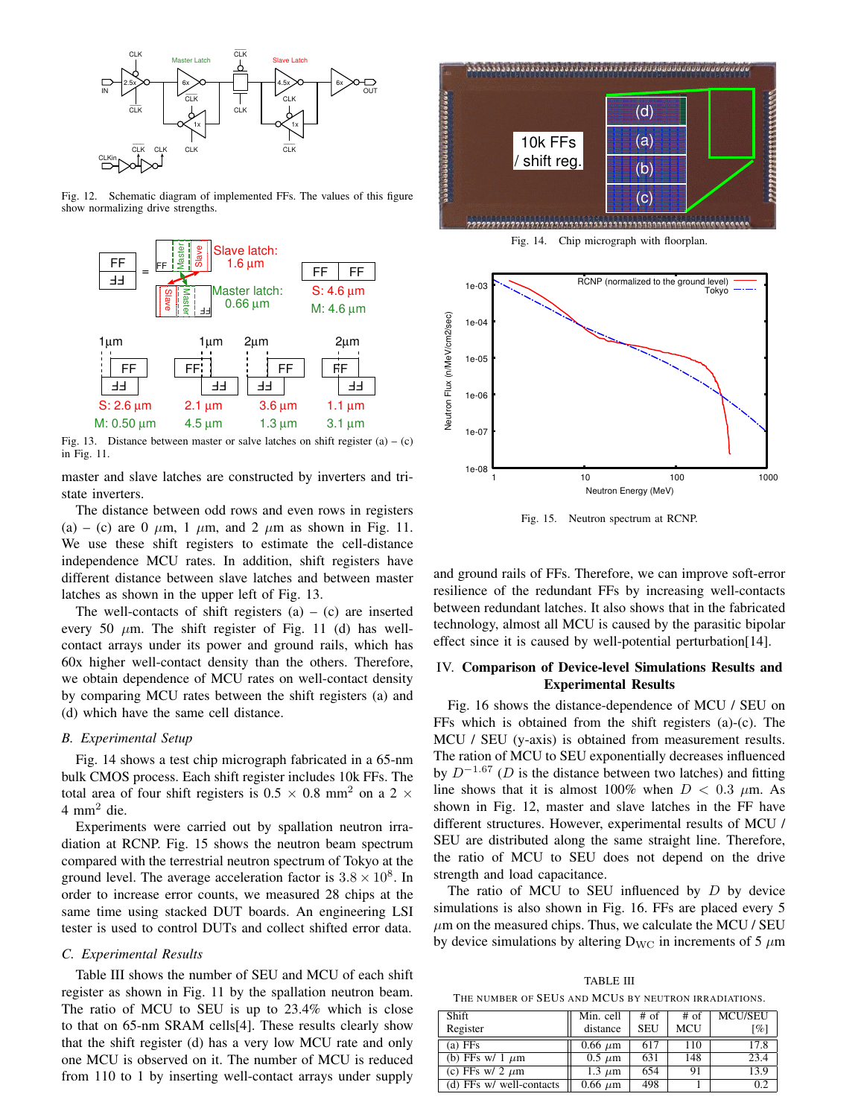

Fig. 12. Schematic diagram of implemented FFs. The values of this figure show normalizing drive strengths.



Fig. 13. Distance between master or salve latches on shift register  $(a) - (c)$ in Fig. 11.

master and slave latches are constructed by inverters and tristate inverters.

The distance between odd rows and even rows in registers (a) – (c) are 0  $\mu$ m, 1  $\mu$ m, and 2  $\mu$ m as shown in Fig. 11. We use these shift registers to estimate the cell-distance independence MCU rates. In addition, shift registers have different distance between slave latches and between master latches as shown in the upper left of Fig. 13.

The well-contacts of shift registers  $(a) - (c)$  are inserted every 50  $\mu$ m. The shift register of Fig. 11 (d) has wellcontact arrays under its power and ground rails, which has 60x higher well-contact density than the others. Therefore, we obtain dependence of MCU rates on well-contact density by comparing MCU rates between the shift registers (a) and (d) which have the same cell distance.

### *B. Experimental Setup*

Fig. 14 shows a test chip micrograph fabricated in a 65-nm bulk CMOS process. Each shift register includes 10k FFs. The total area of four shift registers is  $0.5 \times 0.8$  mm<sup>2</sup> on a 2  $\times$  $4 \text{ mm}^2$  die.

Experiments were carried out by spallation neutron irradiation at RCNP. Fig. 15 shows the neutron beam spectrum compared with the terrestrial neutron spectrum of Tokyo at the ground level. The average acceleration factor is  $3.8 \times 10^8$ . In order to increase error counts, we measured 28 chips at the same time using stacked DUT boards. An engineering LSI tester is used to control DUTs and collect shifted error data.

### *C. Experimental Results*

Table III shows the number of SEU and MCU of each shift register as shown in Fig. 11 by the spallation neutron beam. The ratio of MCU to SEU is up to 23.4% which is close to that on 65-nm SRAM cells[4]. These results clearly show that the shift register (d) has a very low MCU rate and only one MCU is observed on it. The number of MCU is reduced from 110 to 1 by inserting well-contact arrays under supply



 $1e-08$ 1 10 100 1000 1000 Neutron Energy (MeV)

Fig. 15. Neutron spectrum at RCNP.

1e-07

and ground rails of FFs. Therefore, we can improve soft-error resilience of the redundant FFs by increasing well-contacts between redundant latches. It also shows that in the fabricated technology, almost all MCU is caused by the parasitic bipolar effect since it is caused by well-potential perturbation[14].

# IV. Comparison of Device-level Simulations Results and Experimental Results

Fig. 16 shows the distance-dependence of MCU / SEU on FFs which is obtained from the shift registers (a)-(c). The MCU / SEU (y-axis) is obtained from measurement results. The ration of MCU to SEU exponentially decreases influenced by *D−*1*.*<sup>67</sup> (*D* is the distance between two latches) and fitting line shows that it is almost 100% when  $D < 0.3$   $\mu$ m. As shown in Fig. 12, master and slave latches in the FF have different structures. However, experimental results of MCU / SEU are distributed along the same straight line. Therefore, the ratio of MCU to SEU does not depend on the drive strength and load capacitance.

The ratio of MCU to SEU influenced by *D* by device simulations is also shown in Fig. 16. FFs are placed every 5  $\mu$ m on the measured chips. Thus, we calculate the MCU / SEU by device simulations by altering  $D_{\text{WC}}$  in increments of 5  $\mu$ m

TABLE III THE NUMBER OF SEUS AND MCUS BY NEUTRON IRRADIATIONS.

| Shift                    |              |            |      |                    |
|--------------------------|--------------|------------|------|--------------------|
|                          | Min. cell    | $#$ of     | # of | <b>MCU/SEU</b>     |
| Register                 | distance     | <b>SEU</b> | MCU  | $\lceil \% \rceil$ |
| $(a)$ FFs                | $0.66 \mu m$ | 617        | 110  | 17.8               |
| (b) FFs w/ 1 $\mu$ m     | $0.5 \mu m$  | 631        | 148  | 23.4               |
| (c) FFs w/ 2 $\mu$ m     | 1.3 $\mu$ m  | 654        | 91   | 13.9               |
| (d) FFs w/ well-contacts | $0.66 \mu m$ | 498        |      | 0.2                |